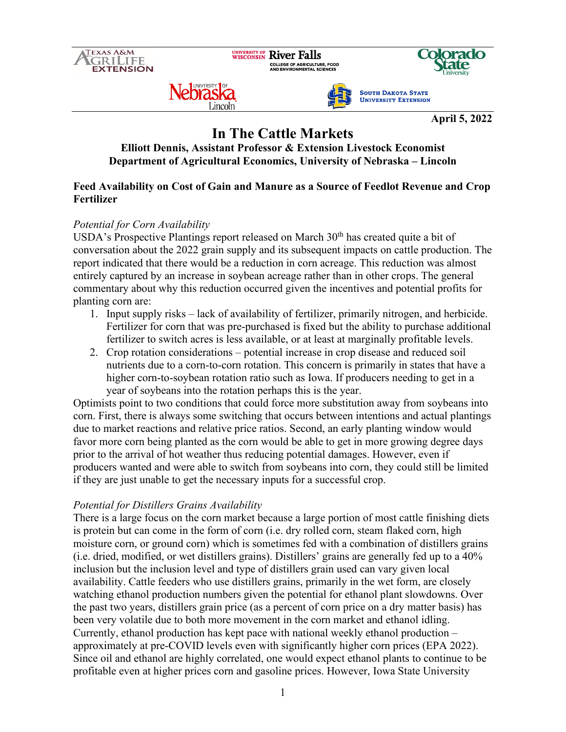

# **In The Cattle Markets**

# **Elliott Dennis, Assistant Professor & Extension Livestock Economist Department of Agricultural Economics, University of Nebraska – Lincoln**

## **Feed Availability on Cost of Gain and Manure as a Source of Feedlot Revenue and Crop Fertilizer**

## *Potential for Corn Availability*

USDA's Prospective Plantings report released on March  $30<sup>th</sup>$  has created quite a bit of conversation about the 2022 grain supply and its subsequent impacts on cattle production. The report indicated that there would be a reduction in corn acreage. This reduction was almost entirely captured by an increase in soybean acreage rather than in other crops. The general commentary about why this reduction occurred given the incentives and potential profits for planting corn are:

- 1. Input supply risks lack of availability of fertilizer, primarily nitrogen, and herbicide. Fertilizer for corn that was pre-purchased is fixed but the ability to purchase additional fertilizer to switch acres is less available, or at least at marginally profitable levels.
- 2. Crop rotation considerations potential increase in crop disease and reduced soil nutrients due to a corn-to-corn rotation. This concern is primarily in states that have a higher corn-to-soybean rotation ratio such as Iowa. If producers needing to get in a year of soybeans into the rotation perhaps this is the year.

Optimists point to two conditions that could force more substitution away from soybeans into corn. First, there is always some switching that occurs between intentions and actual plantings due to market reactions and relative price ratios. Second, an early planting window would favor more corn being planted as the corn would be able to get in more growing degree days prior to the arrival of hot weather thus reducing potential damages. However, even if producers wanted and were able to switch from soybeans into corn, they could still be limited if they are just unable to get the necessary inputs for a successful crop.

## *Potential for Distillers Grains Availability*

There is a large focus on the corn market because a large portion of most cattle finishing diets is protein but can come in the form of corn (i.e. dry rolled corn, steam flaked corn, high moisture corn, or ground corn) which is sometimes fed with a combination of distillers grains (i.e. dried, modified, or wet distillers grains). Distillers' grains are generally fed up to a 40% inclusion but the inclusion level and type of distillers grain used can vary given local availability. Cattle feeders who use distillers grains, primarily in the wet form, are closely watching ethanol production numbers given the potential for ethanol plant slowdowns. Over the past two years, distillers grain price (as a percent of corn price on a dry matter basis) has been very volatile due to both more movement in the corn market and ethanol idling. Currently, ethanol production has kept pace with national weekly ethanol production – approximately at pre-COVID levels even with significantly higher corn prices (EPA 2022). Since oil and ethanol are highly correlated, one would expect ethanol plants to continue to be profitable even at higher prices corn and gasoline prices. However, Iowa State University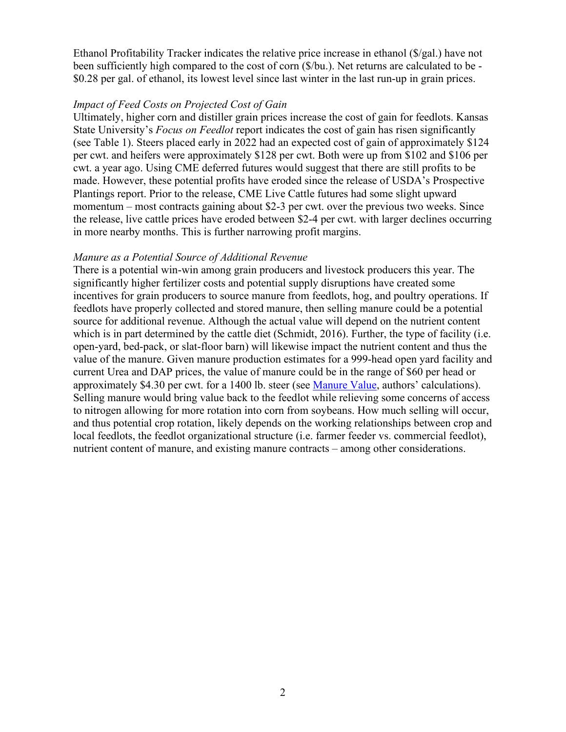Ethanol Profitability Tracker indicates the relative price increase in ethanol (\$/gal.) have not been sufficiently high compared to the cost of corn (\$/bu.). Net returns are calculated to be - \$0.28 per gal. of ethanol, its lowest level since last winter in the last run-up in grain prices.

#### *Impact of Feed Costs on Projected Cost of Gain*

Ultimately, higher corn and distiller grain prices increase the cost of gain for feedlots. Kansas State University's *Focus on Feedlot* report indicates the cost of gain has risen significantly (see Table 1). Steers placed early in 2022 had an expected cost of gain of approximately \$124 per cwt. and heifers were approximately \$128 per cwt. Both were up from \$102 and \$106 per cwt. a year ago. Using CME deferred futures would suggest that there are still profits to be made. However, these potential profits have eroded since the release of USDA's Prospective Plantings report. Prior to the release, CME Live Cattle futures had some slight upward momentum – most contracts gaining about \$2-3 per cwt. over the previous two weeks. Since the release, live cattle prices have eroded between \$2-4 per cwt. with larger declines occurring in more nearby months. This is further narrowing profit margins.

#### *Manure as a Potential Source of Additional Revenue*

There is a potential win-win among grain producers and livestock producers this year. The significantly higher fertilizer costs and potential supply disruptions have created some incentives for grain producers to source manure from feedlots, hog, and poultry operations. If feedlots have properly collected and stored manure, then selling manure could be a potential source for additional revenue. Although the actual value will depend on the nutrient content which is in part determined by the cattle diet (Schmidt, 2016). Further, the type of facility (i.e. open-yard, bed-pack, or slat-floor barn) will likewise impact the nutrient content and thus the value of the manure. Given manure production estimates for a 999-head open yard facility and current Urea and DAP prices, the value of manure could be in the range of \$60 per head or approximately \$4.30 per cwt. for a 1400 lb. steer (see [Manure Value,](https://extension.sdstate.edu/using-feedlot-manure-reduce-crop-production-costs) authors' calculations). Selling manure would bring value back to the feedlot while relieving some concerns of access to nitrogen allowing for more rotation into corn from soybeans. How much selling will occur, and thus potential crop rotation, likely depends on the working relationships between crop and local feedlots, the feedlot organizational structure (i.e. farmer feeder vs. commercial feedlot), nutrient content of manure, and existing manure contracts – among other considerations.